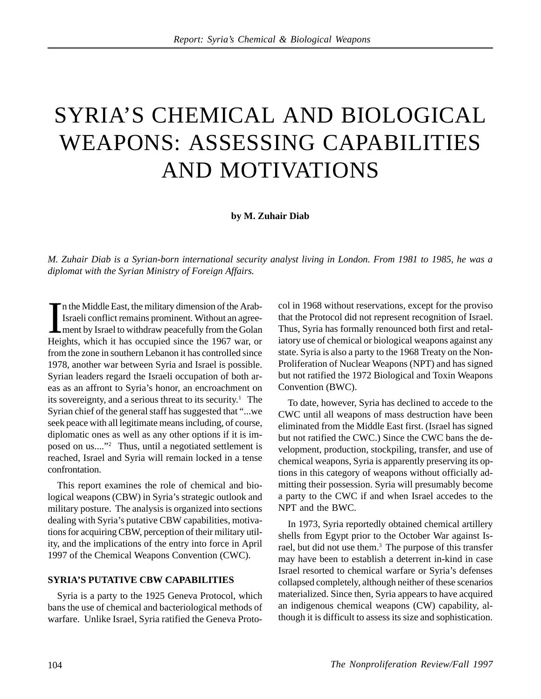# SYRIA'S CHEMICAL AND BIOLOGICAL WEAPONS: ASSESSING CAPABILITIES AND MOTIVATIONS

#### **by M. Zuhair Diab**

*M. Zuhair Diab is a Syrian-born international security analyst living in London. From 1981 to 1985, he was a diplomat with the Syrian Ministry of Foreign Affairs.*

I<br>Hei n the Middle East, the military dimension of the Arab-Israeli conflict remains prominent. Without an agreement by Israel to withdraw peacefully from the Golan Heights, which it has occupied since the 1967 war, or from the zone in southern Lebanon it has controlled since 1978, another war between Syria and Israel is possible. Syrian leaders regard the Israeli occupation of both areas as an affront to Syria's honor, an encroachment on its sovereignty, and a serious threat to its security.<sup>1</sup> The Syrian chief of the general staff has suggested that "...we seek peace with all legitimate means including, of course, diplomatic ones as well as any other options if it is imposed on us...."2 Thus, until a negotiated settlement is reached, Israel and Syria will remain locked in a tense confrontation.

This report examines the role of chemical and biological weapons (CBW) in Syria's strategic outlook and military posture. The analysis is organized into sections dealing with Syria's putative CBW capabilities, motivations for acquiring CBW, perception of their military utility, and the implications of the entry into force in April 1997 of the Chemical Weapons Convention (CWC).

#### **SYRIA'S PUTATIVE CBW CAPABILITIES**

Syria is a party to the 1925 Geneva Protocol, which bans the use of chemical and bacteriological methods of warfare. Unlike Israel, Syria ratified the Geneva Protocol in 1968 without reservations, except for the proviso that the Protocol did not represent recognition of Israel. Thus, Syria has formally renounced both first and retaliatory use of chemical or biological weapons against any state. Syria is also a party to the 1968 Treaty on the Non-Proliferation of Nuclear Weapons (NPT) and has signed but not ratified the 1972 Biological and Toxin Weapons Convention (BWC).

To date, however, Syria has declined to accede to the CWC until all weapons of mass destruction have been eliminated from the Middle East first. (Israel has signed but not ratified the CWC.) Since the CWC bans the development, production, stockpiling, transfer, and use of chemical weapons, Syria is apparently preserving its options in this category of weapons without officially admitting their possession. Syria will presumably become a party to the CWC if and when Israel accedes to the NPT and the BWC.

In 1973, Syria reportedly obtained chemical artillery shells from Egypt prior to the October War against Israel, but did not use them.<sup>3</sup> The purpose of this transfer may have been to establish a deterrent in-kind in case Israel resorted to chemical warfare or Syria's defenses collapsed completely, although neither of these scenarios materialized. Since then, Syria appears to have acquired an indigenous chemical weapons (CW) capability, although it is difficult to assess its size and sophistication.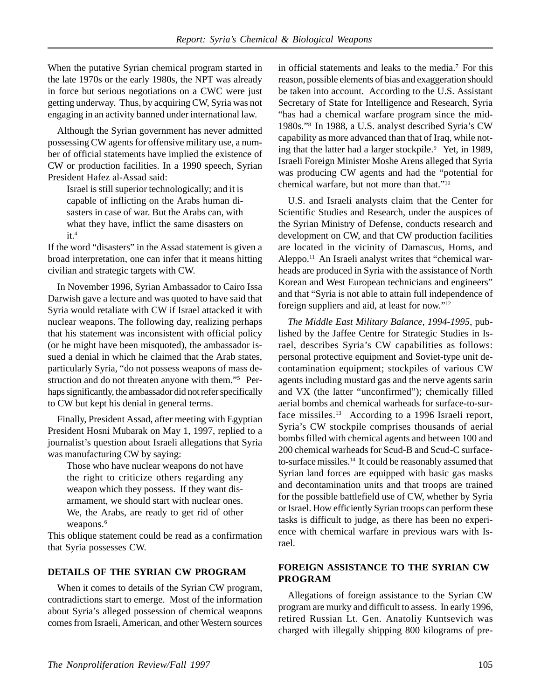When the putative Syrian chemical program started in the late 1970s or the early 1980s, the NPT was already in force but serious negotiations on a CWC were just getting underway. Thus, by acquiring CW, Syria was not engaging in an activity banned under international law.

Although the Syrian government has never admitted possessing CW agents for offensive military use, a number of official statements have implied the existence of CW or production facilities. In a 1990 speech, Syrian President Hafez al-Assad said:

Israel is still superior technologically; and it is capable of inflicting on the Arabs human disasters in case of war. But the Arabs can, with what they have, inflict the same disasters on  $it<sup>4</sup>$ 

If the word "disasters" in the Assad statement is given a broad interpretation, one can infer that it means hitting civilian and strategic targets with CW.

In November 1996, Syrian Ambassador to Cairo Issa Darwish gave a lecture and was quoted to have said that Syria would retaliate with CW if Israel attacked it with nuclear weapons. The following day, realizing perhaps that his statement was inconsistent with official policy (or he might have been misquoted), the ambassador issued a denial in which he claimed that the Arab states, particularly Syria, "do not possess weapons of mass destruction and do not threaten anyone with them."5 Perhaps significantly, the ambassador did not refer specifically to CW but kept his denial in general terms.

Finally, President Assad, after meeting with Egyptian President Hosni Mubarak on May 1, 1997, replied to a journalist's question about Israeli allegations that Syria was manufacturing CW by saying:

Those who have nuclear weapons do not have the right to criticize others regarding any weapon which they possess. If they want disarmament, we should start with nuclear ones. We, the Arabs, are ready to get rid of other weapons.<sup>6</sup>

This oblique statement could be read as a confirmation that Syria possesses CW.

## **DETAILS OF THE SYRIAN CW PROGRAM**

When it comes to details of the Syrian CW program, contradictions start to emerge. Most of the information about Syria's alleged possession of chemical weapons comes from Israeli, American, and other Western sources in official statements and leaks to the media.7 For this reason, possible elements of bias and exaggeration should be taken into account. According to the U.S. Assistant Secretary of State for Intelligence and Research, Syria "has had a chemical warfare program since the mid-1980s."8 In 1988, a U.S. analyst described Syria's CW capability as more advanced than that of Iraq, while noting that the latter had a larger stockpile.<sup>9</sup> Yet, in 1989, Israeli Foreign Minister Moshe Arens alleged that Syria was producing CW agents and had the "potential for chemical warfare, but not more than that."10

U.S. and Israeli analysts claim that the Center for Scientific Studies and Research, under the auspices of the Syrian Ministry of Defense, conducts research and development on CW, and that CW production facilities are located in the vicinity of Damascus, Homs, and Aleppo.11 An Israeli analyst writes that "chemical warheads are produced in Syria with the assistance of North Korean and West European technicians and engineers" and that "Syria is not able to attain full independence of foreign suppliers and aid, at least for now."12

*The Middle East Military Balance, 1994-1995*, published by the Jaffee Centre for Strategic Studies in Israel, describes Syria's CW capabilities as follows: personal protective equipment and Soviet-type unit decontamination equipment; stockpiles of various CW agents including mustard gas and the nerve agents sarin and VX (the latter "unconfirmed"); chemically filled aerial bombs and chemical warheads for surface-to-surface missiles.<sup>13</sup> According to a 1996 Israeli report, Syria's CW stockpile comprises thousands of aerial bombs filled with chemical agents and between 100 and 200 chemical warheads for Scud-B and Scud-C surfaceto-surface missiles.14 It could be reasonably assumed that Syrian land forces are equipped with basic gas masks and decontamination units and that troops are trained for the possible battlefield use of CW, whether by Syria or Israel. How efficiently Syrian troops can perform these tasks is difficult to judge, as there has been no experience with chemical warfare in previous wars with Israel.

#### **FOREIGN ASSISTANCE TO THE SYRIAN CW PROGRAM**

Allegations of foreign assistance to the Syrian CW program are murky and difficult to assess. In early 1996, retired Russian Lt. Gen. Anatoliy Kuntsevich was charged with illegally shipping 800 kilograms of pre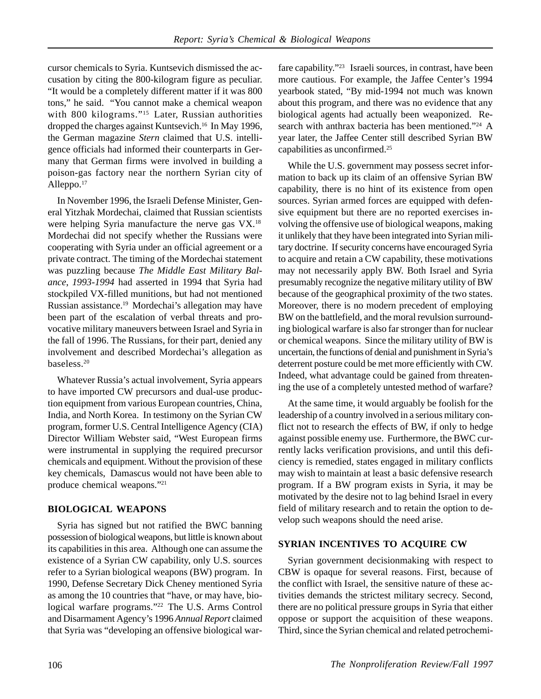cursor chemicals to Syria. Kuntsevich dismissed the accusation by citing the 800-kilogram figure as peculiar. "It would be a completely different matter if it was 800 tons," he said. "You cannot make a chemical weapon with 800 kilograms."<sup>15</sup> Later, Russian authorities dropped the charges against Kuntsevich.<sup>16</sup> In May 1996, the German magazine *Stern* claimed that U.S. intelligence officials had informed their counterparts in Germany that German firms were involved in building a poison-gas factory near the northern Syrian city of Alleppo.<sup>17</sup>

In November 1996, the Israeli Defense Minister, General Yitzhak Mordechai, claimed that Russian scientists were helping Syria manufacture the nerve gas VX.18 Mordechai did not specify whether the Russians were cooperating with Syria under an official agreement or a private contract. The timing of the Mordechai statement was puzzling because *The Middle East Military Balance*, *1993-1994* had asserted in 1994 that Syria had stockpiled VX-filled munitions, but had not mentioned Russian assistance.19 Mordechai's allegation may have been part of the escalation of verbal threats and provocative military maneuvers between Israel and Syria in the fall of 1996. The Russians, for their part, denied any involvement and described Mordechai's allegation as baseless.20

Whatever Russia's actual involvement, Syria appears to have imported CW precursors and dual-use production equipment from various European countries, China, India, and North Korea. In testimony on the Syrian CW program, former U.S. Central Intelligence Agency (CIA) Director William Webster said, "West European firms were instrumental in supplying the required precursor chemicals and equipment. Without the provision of these key chemicals, Damascus would not have been able to produce chemical weapons."21

## **BIOLOGICAL WEAPONS**

Syria has signed but not ratified the BWC banning possession of biological weapons, but little is known about its capabilities in this area. Although one can assume the existence of a Syrian CW capability, only U.S. sources refer to a Syrian biological weapons (BW) program. In 1990, Defense Secretary Dick Cheney mentioned Syria as among the 10 countries that "have, or may have, biological warfare programs."22 The U.S. Arms Control and Disarmament Agency's 1996 *Annual Report* claimed that Syria was "developing an offensive biological warfare capability."23 Israeli sources, in contrast, have been more cautious. For example, the Jaffee Center's 1994 yearbook stated, "By mid-1994 not much was known about this program, and there was no evidence that any biological agents had actually been weaponized. Research with anthrax bacteria has been mentioned."<sup>24</sup> A year later, the Jaffee Center still described Syrian BW capabilities as unconfirmed.25

While the U.S. government may possess secret information to back up its claim of an offensive Syrian BW capability, there is no hint of its existence from open sources. Syrian armed forces are equipped with defensive equipment but there are no reported exercises involving the offensive use of biological weapons, making it unlikely that they have been integrated into Syrian military doctrine. If security concerns have encouraged Syria to acquire and retain a CW capability, these motivations may not necessarily apply BW. Both Israel and Syria presumably recognize the negative military utility of BW because of the geographical proximity of the two states. Moreover, there is no modern precedent of employing BW on the battlefield, and the moral revulsion surrounding biological warfare is also far stronger than for nuclear or chemical weapons. Since the military utility of BW is uncertain, the functions of denial and punishment in Syria's deterrent posture could be met more efficiently with CW. Indeed, what advantage could be gained from threatening the use of a completely untested method of warfare?

At the same time, it would arguably be foolish for the leadership of a country involved in a serious military conflict not to research the effects of BW, if only to hedge against possible enemy use. Furthermore, the BWC currently lacks verification provisions, and until this deficiency is remedied, states engaged in military conflicts may wish to maintain at least a basic defensive research program. If a BW program exists in Syria, it may be motivated by the desire not to lag behind Israel in every field of military research and to retain the option to develop such weapons should the need arise.

## **SYRIAN INCENTIVES TO ACQUIRE CW**

Syrian government decisionmaking with respect to CBW is opaque for several reasons. First, because of the conflict with Israel, the sensitive nature of these activities demands the strictest military secrecy. Second, there are no political pressure groups in Syria that either oppose or support the acquisition of these weapons. Third, since the Syrian chemical and related petrochemi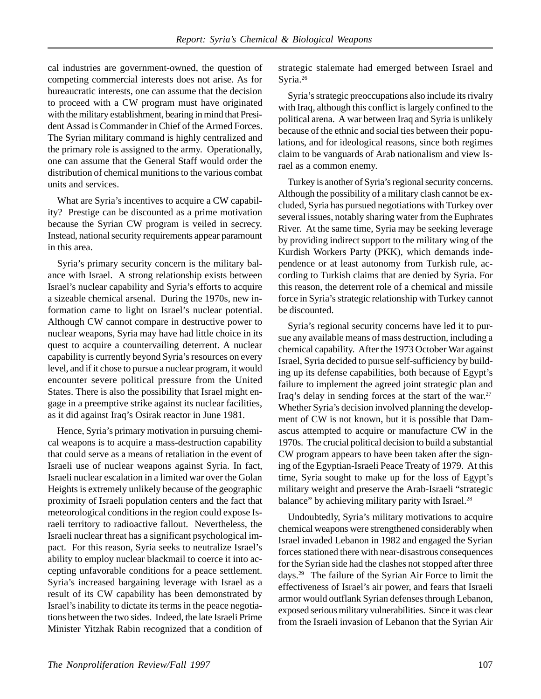cal industries are government-owned, the question of competing commercial interests does not arise. As for bureaucratic interests, one can assume that the decision to proceed with a CW program must have originated with the military establishment, bearing in mind that President Assad is Commander in Chief of the Armed Forces. The Syrian military command is highly centralized and the primary role is assigned to the army. Operationally, one can assume that the General Staff would order the distribution of chemical munitions to the various combat units and services.

What are Syria's incentives to acquire a CW capability? Prestige can be discounted as a prime motivation because the Syrian CW program is veiled in secrecy. Instead, national security requirements appear paramount in this area.

Syria's primary security concern is the military balance with Israel. A strong relationship exists between Israel's nuclear capability and Syria's efforts to acquire a sizeable chemical arsenal. During the 1970s, new information came to light on Israel's nuclear potential. Although CW cannot compare in destructive power to nuclear weapons, Syria may have had little choice in its quest to acquire a countervailing deterrent. A nuclear capability is currently beyond Syria's resources on every level, and if it chose to pursue a nuclear program, it would encounter severe political pressure from the United States. There is also the possibility that Israel might engage in a preemptive strike against its nuclear facilities, as it did against Iraq's Osirak reactor in June 1981.

Hence, Syria's primary motivation in pursuing chemical weapons is to acquire a mass-destruction capability that could serve as a means of retaliation in the event of Israeli use of nuclear weapons against Syria. In fact, Israeli nuclear escalation in a limited war over the Golan Heights is extremely unlikely because of the geographic proximity of Israeli population centers and the fact that meteorological conditions in the region could expose Israeli territory to radioactive fallout. Nevertheless, the Israeli nuclear threat has a significant psychological impact. For this reason, Syria seeks to neutralize Israel's ability to employ nuclear blackmail to coerce it into accepting unfavorable conditions for a peace settlement. Syria's increased bargaining leverage with Israel as a result of its CW capability has been demonstrated by Israel's inability to dictate its terms in the peace negotiations between the two sides. Indeed, the late Israeli Prime Minister Yitzhak Rabin recognized that a condition of strategic stalemate had emerged between Israel and Syria.<sup>26</sup>

Syria's strategic preoccupations also include its rivalry with Iraq, although this conflict is largely confined to the political arena. A war between Iraq and Syria is unlikely because of the ethnic and social ties between their populations, and for ideological reasons, since both regimes claim to be vanguards of Arab nationalism and view Israel as a common enemy.

Turkey is another of Syria's regional security concerns. Although the possibility of a military clash cannot be excluded, Syria has pursued negotiations with Turkey over several issues, notably sharing water from the Euphrates River. At the same time, Syria may be seeking leverage by providing indirect support to the military wing of the Kurdish Workers Party (PKK), which demands independence or at least autonomy from Turkish rule, according to Turkish claims that are denied by Syria. For this reason, the deterrent role of a chemical and missile force in Syria's strategic relationship with Turkey cannot be discounted.

Syria's regional security concerns have led it to pursue any available means of mass destruction, including a chemical capability. After the 1973 October War against Israel, Syria decided to pursue self-sufficiency by building up its defense capabilities, both because of Egypt's failure to implement the agreed joint strategic plan and Iraq's delay in sending forces at the start of the war.<sup>27</sup> Whether Syria's decision involved planning the development of CW is not known, but it is possible that Damascus attempted to acquire or manufacture CW in the 1970s. The crucial political decision to build a substantial CW program appears to have been taken after the signing of the Egyptian-Israeli Peace Treaty of 1979. At this time, Syria sought to make up for the loss of Egypt's military weight and preserve the Arab-Israeli "strategic balance" by achieving military parity with Israel.<sup>28</sup>

Undoubtedly, Syria's military motivations to acquire chemical weapons were strengthened considerably when Israel invaded Lebanon in 1982 and engaged the Syrian forces stationed there with near-disastrous consequences for the Syrian side had the clashes not stopped after three days.29 The failure of the Syrian Air Force to limit the effectiveness of Israel's air power, and fears that Israeli armor would outflank Syrian defenses through Lebanon, exposed serious military vulnerabilities. Since it was clear from the Israeli invasion of Lebanon that the Syrian Air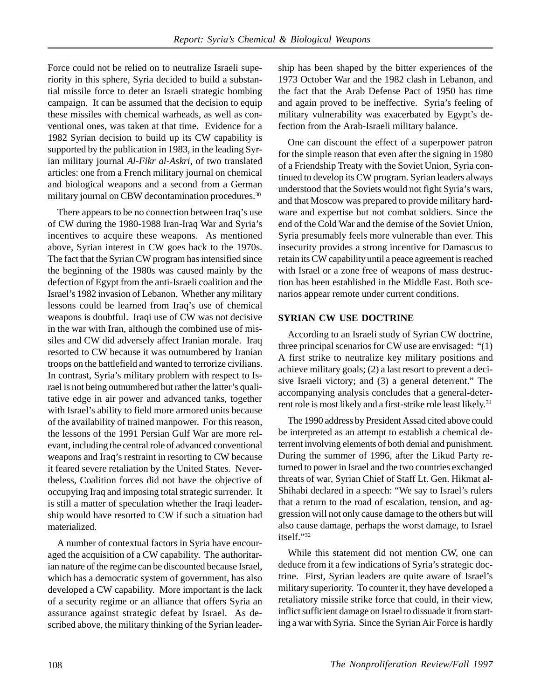Force could not be relied on to neutralize Israeli superiority in this sphere, Syria decided to build a substantial missile force to deter an Israeli strategic bombing campaign. It can be assumed that the decision to equip these missiles with chemical warheads, as well as conventional ones, was taken at that time. Evidence for a 1982 Syrian decision to build up its CW capability is supported by the publication in 1983, in the leading Syrian military journal *Al-Fikr al-Askri*, of two translated articles: one from a French military journal on chemical and biological weapons and a second from a German military journal on CBW decontamination procedures.<sup>30</sup>

There appears to be no connection between Iraq's use of CW during the 1980-1988 Iran-Iraq War and Syria's incentives to acquire these weapons. As mentioned above, Syrian interest in CW goes back to the 1970s. The fact that the Syrian CW program has intensified since the beginning of the 1980s was caused mainly by the defection of Egypt from the anti-Israeli coalition and the Israel's 1982 invasion of Lebanon. Whether any military lessons could be learned from Iraq's use of chemical weapons is doubtful. Iraqi use of CW was not decisive in the war with Iran, although the combined use of missiles and CW did adversely affect Iranian morale. Iraq resorted to CW because it was outnumbered by Iranian troops on the battlefield and wanted to terrorize civilians. In contrast, Syria's military problem with respect to Israel is not being outnumbered but rather the latter's qualitative edge in air power and advanced tanks, together with Israel's ability to field more armored units because of the availability of trained manpower. For this reason, the lessons of the 1991 Persian Gulf War are more relevant, including the central role of advanced conventional weapons and Iraq's restraint in resorting to CW because it feared severe retaliation by the United States. Nevertheless, Coalition forces did not have the objective of occupying Iraq and imposing total strategic surrender. It is still a matter of speculation whether the Iraqi leadership would have resorted to CW if such a situation had materialized.

A number of contextual factors in Syria have encouraged the acquisition of a CW capability. The authoritarian nature of the regime can be discounted because Israel, which has a democratic system of government, has also developed a CW capability. More important is the lack of a security regime or an alliance that offers Syria an assurance against strategic defeat by Israel. As described above, the military thinking of the Syrian leadership has been shaped by the bitter experiences of the 1973 October War and the 1982 clash in Lebanon, and the fact that the Arab Defense Pact of 1950 has time and again proved to be ineffective. Syria's feeling of military vulnerability was exacerbated by Egypt's defection from the Arab-Israeli military balance.

One can discount the effect of a superpower patron for the simple reason that even after the signing in 1980 of a Friendship Treaty with the Soviet Union, Syria continued to develop its CW program. Syrian leaders always understood that the Soviets would not fight Syria's wars, and that Moscow was prepared to provide military hardware and expertise but not combat soldiers. Since the end of the Cold War and the demise of the Soviet Union, Syria presumably feels more vulnerable than ever. This insecurity provides a strong incentive for Damascus to retain its CW capability until a peace agreement is reached with Israel or a zone free of weapons of mass destruction has been established in the Middle East. Both scenarios appear remote under current conditions.

#### **SYRIAN CW USE DOCTRINE**

According to an Israeli study of Syrian CW doctrine, three principal scenarios for CW use are envisaged: "(1) A first strike to neutralize key military positions and achieve military goals; (2) a last resort to prevent a decisive Israeli victory; and (3) a general deterrent." The accompanying analysis concludes that a general-deterrent role is most likely and a first-strike role least likely.<sup>31</sup>

The 1990 address by President Assad cited above could be interpreted as an attempt to establish a chemical deterrent involving elements of both denial and punishment. During the summer of 1996, after the Likud Party returned to power in Israel and the two countries exchanged threats of war, Syrian Chief of Staff Lt. Gen. Hikmat al-Shihabi declared in a speech: "We say to Israel's rulers that a return to the road of escalation, tension, and aggression will not only cause damage to the others but will also cause damage, perhaps the worst damage, to Israel itself."32

While this statement did not mention CW, one can deduce from it a few indications of Syria's strategic doctrine. First, Syrian leaders are quite aware of Israel's military superiority. To counter it, they have developed a retaliatory missile strike force that could, in their view, inflict sufficient damage on Israel to dissuade it from starting a war with Syria. Since the Syrian Air Force is hardly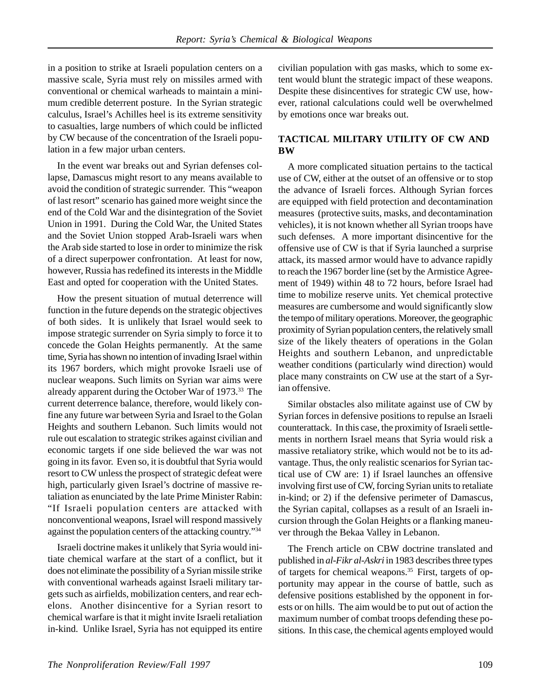in a position to strike at Israeli population centers on a massive scale, Syria must rely on missiles armed with conventional or chemical warheads to maintain a minimum credible deterrent posture. In the Syrian strategic calculus, Israel's Achilles heel is its extreme sensitivity to casualties, large numbers of which could be inflicted by CW because of the concentration of the Israeli population in a few major urban centers.

In the event war breaks out and Syrian defenses collapse, Damascus might resort to any means available to avoid the condition of strategic surrender. This "weapon of last resort" scenario has gained more weight since the end of the Cold War and the disintegration of the Soviet Union in 1991. During the Cold War, the United States and the Soviet Union stopped Arab-Israeli wars when the Arab side started to lose in order to minimize the risk of a direct superpower confrontation. At least for now, however, Russia has redefined its interests in the Middle East and opted for cooperation with the United States.

How the present situation of mutual deterrence will function in the future depends on the strategic objectives of both sides. It is unlikely that Israel would seek to impose strategic surrender on Syria simply to force it to concede the Golan Heights permanently. At the same time, Syria has shown no intention of invading Israel within its 1967 borders, which might provoke Israeli use of nuclear weapons. Such limits on Syrian war aims were already apparent during the October War of 1973.33 The current deterrence balance, therefore, would likely confine any future war between Syria and Israel to the Golan Heights and southern Lebanon. Such limits would not rule out escalation to strategic strikes against civilian and economic targets if one side believed the war was not going in its favor. Even so, it is doubtful that Syria would resort to CW unless the prospect of strategic defeat were high, particularly given Israel's doctrine of massive retaliation as enunciated by the late Prime Minister Rabin: "If Israeli population centers are attacked with nonconventional weapons, Israel will respond massively against the population centers of the attacking country."34

Israeli doctrine makes it unlikely that Syria would initiate chemical warfare at the start of a conflict, but it does not eliminate the possibility of a Syrian missile strike with conventional warheads against Israeli military targets such as airfields, mobilization centers, and rear echelons. Another disincentive for a Syrian resort to chemical warfare is that it might invite Israeli retaliation in-kind. Unlike Israel, Syria has not equipped its entire civilian population with gas masks, which to some extent would blunt the strategic impact of these weapons. Despite these disincentives for strategic CW use, however, rational calculations could well be overwhelmed by emotions once war breaks out.

#### **TACTICAL MILITARY UTILITY OF CW AND BW**

A more complicated situation pertains to the tactical use of CW, either at the outset of an offensive or to stop the advance of Israeli forces. Although Syrian forces are equipped with field protection and decontamination measures (protective suits, masks, and decontamination vehicles), it is not known whether all Syrian troops have such defenses. A more important disincentive for the offensive use of CW is that if Syria launched a surprise attack, its massed armor would have to advance rapidly to reach the 1967 border line (set by the Armistice Agreement of 1949) within 48 to 72 hours, before Israel had time to mobilize reserve units. Yet chemical protective measures are cumbersome and would significantly slow the tempo of military operations. Moreover, the geographic proximity of Syrian population centers, the relatively small size of the likely theaters of operations in the Golan Heights and southern Lebanon, and unpredictable weather conditions (particularly wind direction) would place many constraints on CW use at the start of a Syrian offensive.

Similar obstacles also militate against use of CW by Syrian forces in defensive positions to repulse an Israeli counterattack. In this case, the proximity of Israeli settlements in northern Israel means that Syria would risk a massive retaliatory strike, which would not be to its advantage. Thus, the only realistic scenarios for Syrian tactical use of CW are: 1) if Israel launches an offensive involving first use of CW, forcing Syrian units to retaliate in-kind; or 2) if the defensive perimeter of Damascus, the Syrian capital, collapses as a result of an Israeli incursion through the Golan Heights or a flanking maneuver through the Bekaa Valley in Lebanon.

The French article on CBW doctrine translated and published in *al-Fikr al-Askri* in 1983 describes three types of targets for chemical weapons.<sup>35</sup> First, targets of opportunity may appear in the course of battle, such as defensive positions established by the opponent in forests or on hills. The aim would be to put out of action the maximum number of combat troops defending these positions. In this case, the chemical agents employed would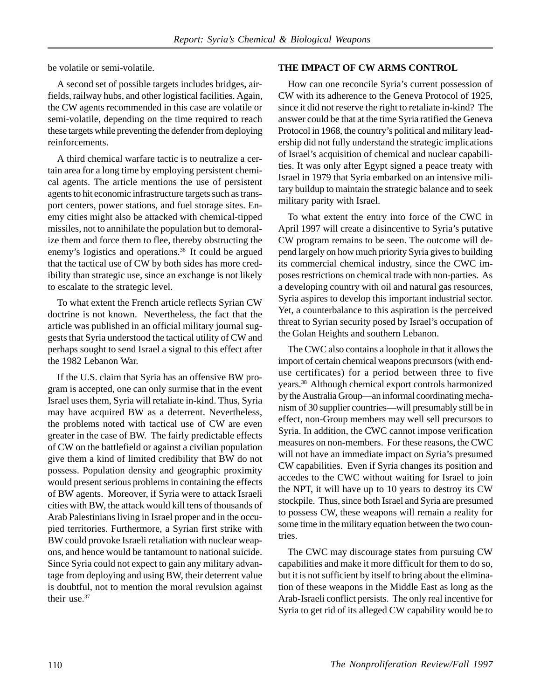be volatile or semi-volatile.

A second set of possible targets includes bridges, airfields, railway hubs, and other logistical facilities. Again, the CW agents recommended in this case are volatile or semi-volatile, depending on the time required to reach these targets while preventing the defender from deploying reinforcements.

A third chemical warfare tactic is to neutralize a certain area for a long time by employing persistent chemical agents. The article mentions the use of persistent agents to hit economic infrastructure targets such as transport centers, power stations, and fuel storage sites. Enemy cities might also be attacked with chemical-tipped missiles, not to annihilate the population but to demoralize them and force them to flee, thereby obstructing the enemy's logistics and operations.36 It could be argued that the tactical use of CW by both sides has more credibility than strategic use, since an exchange is not likely to escalate to the strategic level.

To what extent the French article reflects Syrian CW doctrine is not known. Nevertheless, the fact that the article was published in an official military journal suggests that Syria understood the tactical utility of CW and perhaps sought to send Israel a signal to this effect after the 1982 Lebanon War.

If the U.S. claim that Syria has an offensive BW program is accepted, one can only surmise that in the event Israel uses them, Syria will retaliate in-kind. Thus, Syria may have acquired BW as a deterrent. Nevertheless, the problems noted with tactical use of CW are even greater in the case of BW. The fairly predictable effects of CW on the battlefield or against a civilian population give them a kind of limited credibility that BW do not possess. Population density and geographic proximity would present serious problems in containing the effects of BW agents. Moreover, if Syria were to attack Israeli cities with BW, the attack would kill tens of thousands of Arab Palestinians living in Israel proper and in the occupied territories. Furthermore, a Syrian first strike with BW could provoke Israeli retaliation with nuclear weapons, and hence would be tantamount to national suicide. Since Syria could not expect to gain any military advantage from deploying and using BW, their deterrent value is doubtful, not to mention the moral revulsion against their use.<sup>37</sup>

#### **THE IMPACT OF CW ARMS CONTROL**

How can one reconcile Syria's current possession of CW with its adherence to the Geneva Protocol of 1925, since it did not reserve the right to retaliate in-kind? The answer could be that at the time Syria ratified the Geneva Protocol in 1968, the country's political and military leadership did not fully understand the strategic implications of Israel's acquisition of chemical and nuclear capabilities. It was only after Egypt signed a peace treaty with Israel in 1979 that Syria embarked on an intensive military buildup to maintain the strategic balance and to seek military parity with Israel.

To what extent the entry into force of the CWC in April 1997 will create a disincentive to Syria's putative CW program remains to be seen. The outcome will depend largely on how much priority Syria gives to building its commercial chemical industry, since the CWC imposes restrictions on chemical trade with non-parties. As a developing country with oil and natural gas resources, Syria aspires to develop this important industrial sector. Yet, a counterbalance to this aspiration is the perceived threat to Syrian security posed by Israel's occupation of the Golan Heights and southern Lebanon.

The CWC also contains a loophole in that it allows the import of certain chemical weapons precursors (with enduse certificates) for a period between three to five years.38 Although chemical export controls harmonized by the Australia Group—an informal coordinating mechanism of 30 supplier countries—will presumably still be in effect, non-Group members may well sell precursors to Syria. In addition, the CWC cannot impose verification measures on non-members. For these reasons, the CWC will not have an immediate impact on Syria's presumed CW capabilities. Even if Syria changes its position and accedes to the CWC without waiting for Israel to join the NPT, it will have up to 10 years to destroy its CW stockpile. Thus, since both Israel and Syria are presumed to possess CW, these weapons will remain a reality for some time in the military equation between the two countries.

The CWC may discourage states from pursuing CW capabilities and make it more difficult for them to do so, but it is not sufficient by itself to bring about the elimination of these weapons in the Middle East as long as the Arab-Israeli conflict persists. The only real incentive for Syria to get rid of its alleged CW capability would be to